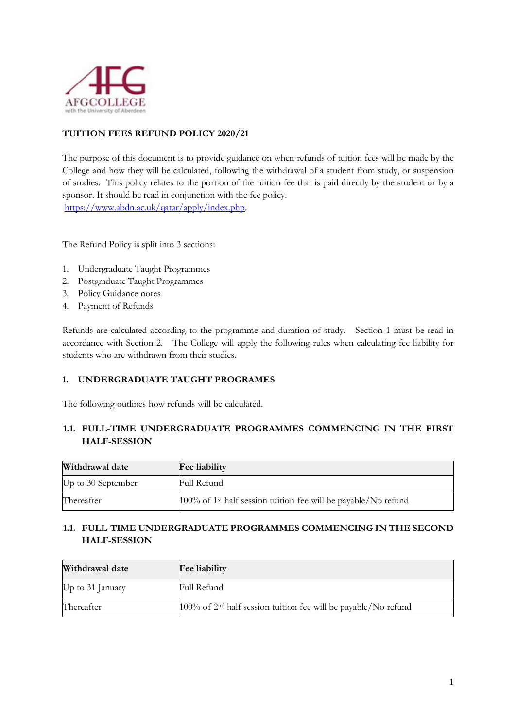

## **TUITION FEES REFUND POLICY 2020/21**

The purpose of this document is to provide guidance on when refunds of tuition fees will be made by the College and how they will be calculated, following the withdrawal of a student from study, or suspension of studies. This policy relates to the portion of the tuition fee that is paid directly by the student or by a sponsor. It should be read in conjunction with the fee policy. [https://www.abdn.ac.uk/qatar/apply/index.php.](https://www.abdn.ac.uk/qatar/apply/index.php)

The Refund Policy is split into 3 sections:

- 1. Undergraduate Taught Programmes
- 2. Postgraduate Taught Programmes
- 3. Policy Guidance notes
- 4. Payment of Refunds

Refunds are calculated according to the programme and duration of study. Section 1 must be read in accordance with Section [2.](#page-2-0) The College will apply the following rules when calculating fee liability for students who are withdrawn from their studies.

#### **1. UNDERGRADUATE TAUGHT PROGRAMES**

The following outlines how refunds will be calculated.

#### **1.1. FULL-TIME UNDERGRADUATE PROGRAMMES COMMENCING IN THE FIRST HALF-SESSION**

| Withdrawal date    | <b>Fee liability</b>                                                          |
|--------------------|-------------------------------------------------------------------------------|
| Up to 30 September | Full Refund                                                                   |
| Thereafter         | $100\%$ of 1 <sup>st</sup> half session tuition fee will be payable/No refund |

## **1.1. FULL-TIME UNDERGRADUATE PROGRAMMES COMMENCING IN THE SECOND HALF-SESSION**

| Withdrawal date  | <b>Fee liability</b>                                                |
|------------------|---------------------------------------------------------------------|
| Up to 31 January | Full Refund                                                         |
| Thereafter       | $100\%$ of $2nd$ half session tuition fee will be payable/No refund |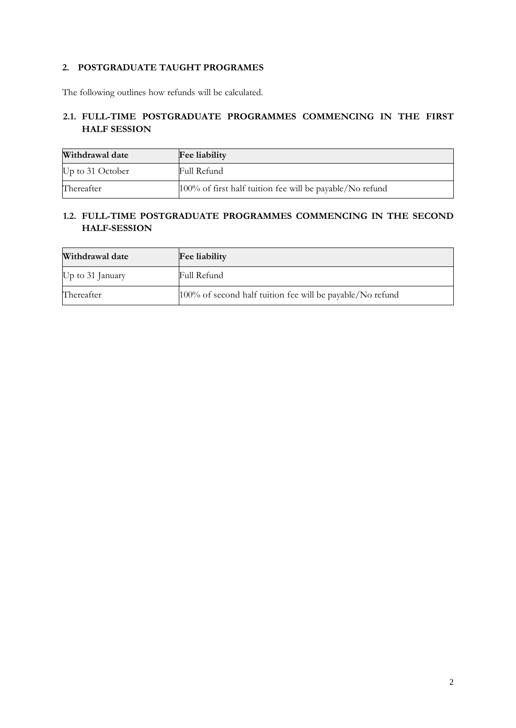## **2. POSTGRADUATE TAUGHT PROGRAMES**

The following outlines how refunds will be calculated.

# **2.1. FULL-TIME POSTGRADUATE PROGRAMMES COMMENCING IN THE FIRST HALF SESSION**

| Withdrawal date  | <b>Fee liability</b>                                     |
|------------------|----------------------------------------------------------|
| Up to 31 October | Full Refund                                              |
| Thereafter       | 100% of first half tuition fee will be payable/No refund |

#### **1.2. FULL-TIME POSTGRADUATE PROGRAMMES COMMENCING IN THE SECOND HALF-SESSION**

| Withdrawal date  | <b>Fee liability</b>                                      |
|------------------|-----------------------------------------------------------|
| Up to 31 January | Full Refund                                               |
| Thereafter       | 100% of second half tuition fee will be payable/No refund |